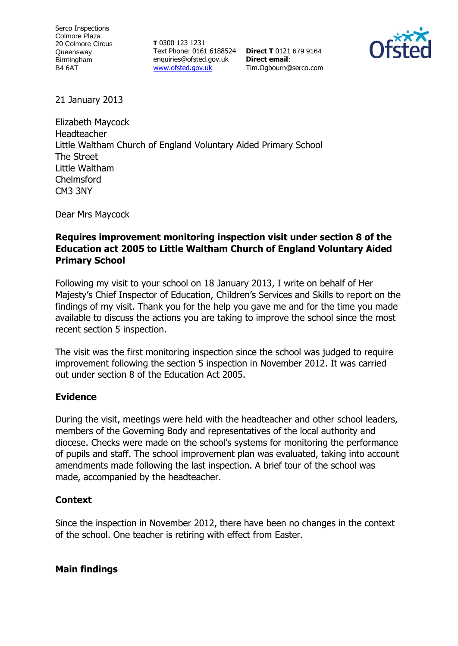**T** 0300 123 1231 Text Phone: 0161 6188524 **Direct T** 0121 679 9164 enquiries@ofsted.gov.uk [www.ofsted.gov.uk](http://www.ofsted.gov.uk/)

**Direct email**: Tim.Ogbourn@serco.com



21 January 2013

Elizabeth Maycock Headteacher Little Waltham Church of England Voluntary Aided Primary School The Street Little Waltham Chelmsford CM3 3NY

Dear Mrs Maycock

## **Requires improvement monitoring inspection visit under section 8 of the Education act 2005 to Little Waltham Church of England Voluntary Aided Primary School**

Following my visit to your school on 18 January 2013, I write on behalf of Her Majesty's Chief Inspector of Education, Children's Services and Skills to report on the findings of my visit. Thank you for the help you gave me and for the time you made available to discuss the actions you are taking to improve the school since the most recent section 5 inspection.

The visit was the first monitoring inspection since the school was judged to require improvement following the section 5 inspection in November 2012. It was carried out under section 8 of the Education Act 2005.

## **Evidence**

During the visit, meetings were held with the headteacher and other school leaders, members of the Governing Body and representatives of the local authority and diocese. Checks were made on the school's systems for monitoring the performance of pupils and staff. The school improvement plan was evaluated, taking into account amendments made following the last inspection. A brief tour of the school was made, accompanied by the headteacher.

## **Context**

Since the inspection in November 2012, there have been no changes in the context of the school. One teacher is retiring with effect from Easter.

**Main findings**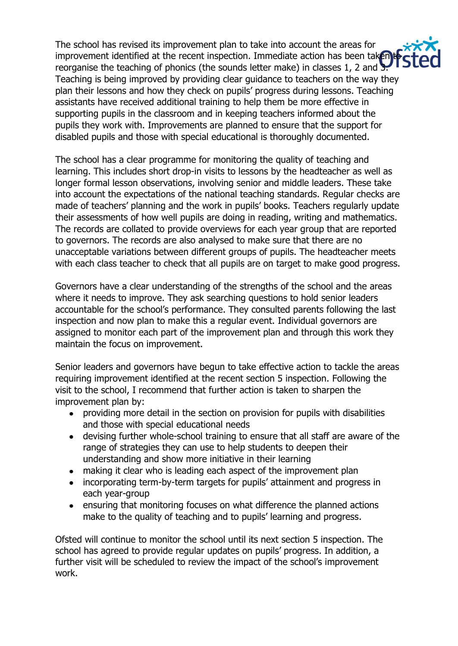The school has revised its improvement plan to take into account the areas for improvement identified at the recent inspection. Immediate action has been taken to reorganise the teaching of phonics (the sounds letter make) in classes 1, 2 and 3. Teaching is being improved by providing clear guidance to teachers on the way they plan their lessons and how they check on pupils' progress during lessons. Teaching assistants have received additional training to help them be more effective in supporting pupils in the classroom and in keeping teachers informed about the pupils they work with. Improvements are planned to ensure that the support for disabled pupils and those with special educational is thoroughly documented.

The school has a clear programme for monitoring the quality of teaching and learning. This includes short drop-in visits to lessons by the headteacher as well as longer formal lesson observations, involving senior and middle leaders. These take into account the expectations of the national teaching standards. Regular checks are made of teachers' planning and the work in pupils' books. Teachers regularly update their assessments of how well pupils are doing in reading, writing and mathematics. The records are collated to provide overviews for each year group that are reported to governors. The records are also analysed to make sure that there are no unacceptable variations between different groups of pupils. The headteacher meets with each class teacher to check that all pupils are on target to make good progress.

Governors have a clear understanding of the strengths of the school and the areas where it needs to improve. They ask searching questions to hold senior leaders accountable for the school's performance. They consulted parents following the last inspection and now plan to make this a regular event. Individual governors are assigned to monitor each part of the improvement plan and through this work they maintain the focus on improvement.

Senior leaders and governors have begun to take effective action to tackle the areas requiring improvement identified at the recent section 5 inspection. Following the visit to the school, I recommend that further action is taken to sharpen the improvement plan by:

- providing more detail in the section on provision for pupils with disabilities and those with special educational needs
- devising further whole-school training to ensure that all staff are aware of the range of strategies they can use to help students to deepen their understanding and show more initiative in their learning
- making it clear who is leading each aspect of the improvement plan
- $\bullet$ incorporating term-by-term targets for pupils' attainment and progress in each year-group
- ensuring that monitoring focuses on what difference the planned actions make to the quality of teaching and to pupils' learning and progress.

Ofsted will continue to monitor the school until its next section 5 inspection. The school has agreed to provide regular updates on pupils' progress. In addition, a further visit will be scheduled to review the impact of the school's improvement work.